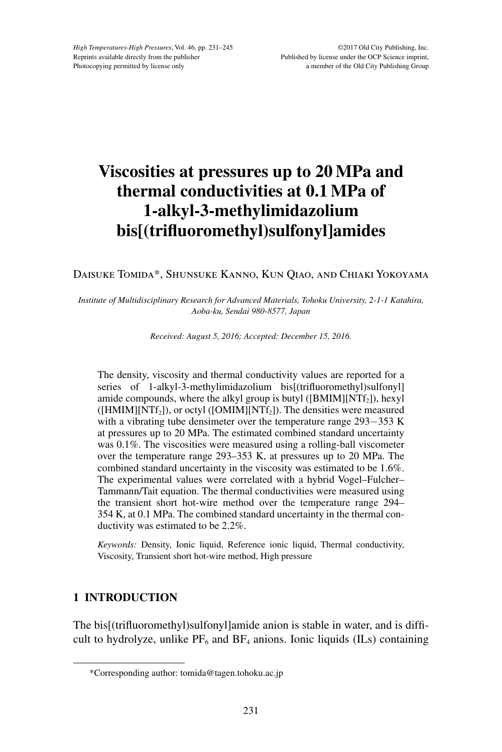# **Viscosities at pressures up to 20 MPa and thermal conductivities at 0.1 MPa of 1-alkyl-3-methylimidazolium bis[(trifluoromethyl)sulfonyl]amides**

# Daisuke Tomida\*, Shunsuke Kanno, Kun Qiao, and Chiaki Yokoyama

#### *Institute of Multidisciplinary Research for Advanced Materials, Tohoku University, 2-1-1 Katahira, Aoba-ku, Sendai 980-8577, Japan*

*Received: August 5, 2016; Accepted: December 15, 2016.*

The density, viscosity and thermal conductivity values are reported for a series of 1-alkyl-3-methylimidazolium bis[(trifluoromethyl)sulfonyl] amide compounds, where the alkyl group is butyl ( $[BMIM][NTf<sub>2</sub>])$ , hexyl  $([HMIM][NTf<sub>2</sub>])$ , or octyl  $([OMIM][NTf<sub>2</sub>])$ . The densities were measured with a vibrating tube densimeter over the temperature range 293-353 K at pressures up to 20 MPa. The estimated combined standard uncertainty was 0.1%. The viscosities were measured using a rolling-ball viscometer over the temperature range 293–353 K, at pressures up to 20 MPa. The combined standard uncertainty in the viscosity was estimated to be 1.6%. The experimental values were correlated with a hybrid Vogel–Fulcher– Tammann/Tait equation. The thermal conductivities were measured using the transient short hot-wire method over the temperature range 294– 354 K, at 0.1 MPa. The combined standard uncertainty in the thermal conductivity was estimated to be 2.2%.

*Keywords:* Density, Ionic liquid, Reference ionic liquid, Thermal conductivity, Viscosity, Transient short hot-wire method, High pressure

# **1 INTRODUCTION**

The bis[(trifluoromethyl)sulfonyl]amide anion is stable in water, and is difficult to hydrolyze, unlike  $PF_6$  and  $BF_4$  anions. Ionic liquids (ILs) containing

<sup>\*</sup>Corresponding author: tomida@tagen.tohoku.ac.jp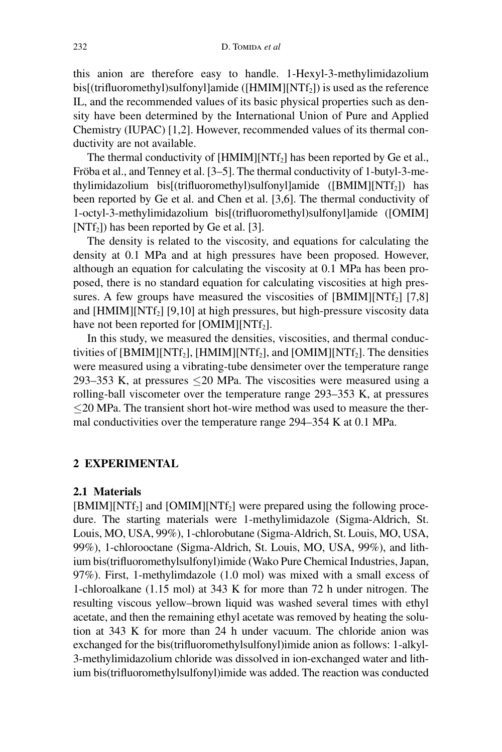this anion are therefore easy to handle. 1-Hexyl-3-methylimidazolium bis[(trifluoromethyl)sulfonyl]amide ( $[HMIM][NTf<sub>2</sub>]$ ) is used as the reference IL, and the recommended values of its basic physical properties such as density have been determined by the International Union of Pure and Applied Chemistry (IUPAC) [1,2]. However, recommended values of its thermal conductivity are not available.

The thermal conductivity of  $[HMIM][NTf<sub>2</sub>]$  has been reported by Ge et al., Fröba et al., and Tenney et al. [3–5]. The thermal conductivity of 1-butyl-3-methylimidazolium bis[(trifluoromethyl)sulfonyl]amide ([BMIM][NTf2]) has been reported by Ge et al. and Chen et al. [3,6]. The thermal conductivity of 1-octyl-3-methylimidazolium bis[(trifluoromethyl)sulfonyl]amide ([OMIM]  $[NTf<sub>2</sub>]$ ) has been reported by Ge et al. [3].

The density is related to the viscosity, and equations for calculating the density at 0.1 MPa and at high pressures have been proposed. However, although an equation for calculating the viscosity at 0.1 MPa has been proposed, there is no standard equation for calculating viscosities at high pressures. A few groups have measured the viscosities of  $[BMIM][NTf_2] [7,8]$ and  $[HMIM][NTf<sub>2</sub>]$  [9,10] at high pressures, but high-pressure viscosity data have not been reported for  $[OMIM][NTf<sub>2</sub>]$ .

In this study, we measured the densities, viscosities, and thermal conductivities of  $[BMIM][NTf_2]$ ,  $[HMIM][NTf_2]$ , and  $[OMIM][NTf_2]$ . The densities were measured using a vibrating-tube densimeter over the temperature range 293–353 K, at pressures  $\leq$  20 MPa. The viscosities were measured using a rolling-ball viscometer over the temperature range 293–353 K, at pressures ≤20 MPa. The transient short hot-wire method was used to measure the thermal conductivities over the temperature range 294–354 K at 0.1 MPa.

## **2 EXPERIMENTAL**

### **2.1 Materials**

 $[BMIM][NTf<sub>2</sub>]$  and  $[OMIM][NTf<sub>2</sub>]$  were prepared using the following procedure. The starting materials were 1-methylimidazole (Sigma-Aldrich, St. Louis, MO, USA, 99%), 1-chlorobutane (Sigma-Aldrich, St. Louis, MO, USA, 99%), 1-chlorooctane (Sigma-Aldrich, St. Louis, MO, USA, 99%), and lithium bis(trifluoromethylsulfonyl)imide (Wako Pure Chemical Industries, Japan, 97%). First, 1-methylimdazole (1.0 mol) was mixed with a small excess of 1-chloroalkane (1.15 mol) at 343 K for more than 72 h under nitrogen. The resulting viscous yellow–brown liquid was washed several times with ethyl acetate, and then the remaining ethyl acetate was removed by heating the solution at 343 K for more than 24 h under vacuum. The chloride anion was exchanged for the bis(trifluoromethylsulfonyl)imide anion as follows: 1-alkyl-3-methylimidazolium chloride was dissolved in ion-exchanged water and lithium bis(trifluoromethylsulfonyl)imide was added. The reaction was conducted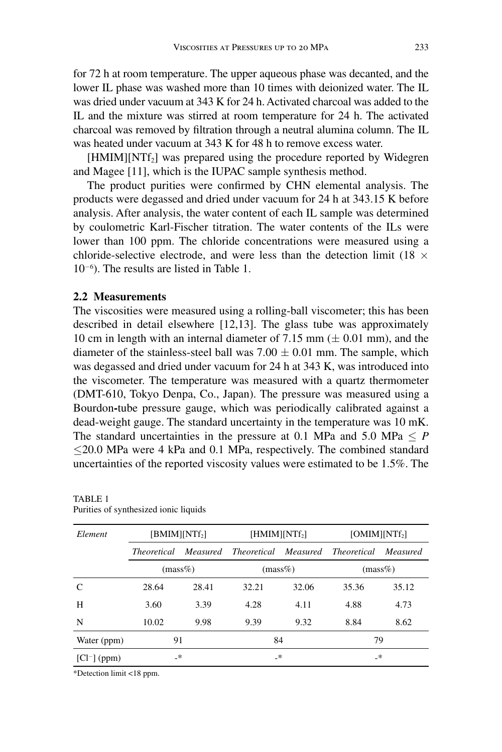for 72 h at room temperature. The upper aqueous phase was decanted, and the lower IL phase was washed more than 10 times with deionized water. The IL was dried under vacuum at 343 K for 24 h. Activated charcoal was added to the IL and the mixture was stirred at room temperature for 24 h. The activated charcoal was removed by filtration through a neutral alumina column. The IL was heated under vacuum at 343 K for 48 h to remove excess water.

 $[HMIM][NTf<sub>2</sub>]$  was prepared using the procedure reported by Widegren and Magee [11], which is the IUPAC sample synthesis method.

The product purities were confirmed by CHN elemental analysis. The products were degassed and dried under vacuum for 24 h at 343.15 K before analysis. After analysis, the water content of each IL sample was determined by coulometric Karl-Fischer titration. The water contents of the ILs were lower than 100 ppm. The chloride concentrations were measured using a chloride-selective electrode, and were less than the detection limit (18  $\times$ 10−<sup>6</sup> ). The results are listed in Table 1.

## **2.2 Measurements**

The viscosities were measured using a rolling-ball viscometer; this has been described in detail elsewhere [12,13]. The glass tube was approximately 10 cm in length with an internal diameter of 7.15 mm  $(\pm 0.01$  mm), and the diameter of the stainless-steel ball was  $7.00 \pm 0.01$  mm. The sample, which was degassed and dried under vacuum for 24 h at 343 K, was introduced into the viscometer. The temperature was measured with a quartz thermometer (DMT-610, Tokyo Denpa, Co., Japan). The pressure was measured using a Bourdon**-**tube pressure gauge, which was periodically calibrated against a dead-weight gauge. The standard uncertainty in the temperature was 10 mK. The standard uncertainties in the pressure at 0.1 MPa and 5.0 MPa  $\leq P$ ≤20.0 MPa were 4 kPa and 0.1 MPa, respectively. The combined standard uncertainties of the reported viscosity values were estimated to be 1.5%. The

| Element        | [BMIM][NTf <sub>2</sub> ] |          | [HMIM][NTf <sub>2</sub> ]   |       | [OMIM][NTf <sub>2</sub> ] |          |
|----------------|---------------------------|----------|-----------------------------|-------|---------------------------|----------|
|                | <i>Theoretical</i>        | Measured | <i>Theoretical Measured</i> |       | Theoretical               | Measured |
|                | $(mass\%)$                |          | $(mass\%)$                  |       | $(mass\%)$                |          |
| C              | 28.64                     | 28.41    | 32.21                       | 32.06 | 35.36                     | 35.12    |
| H              | 3.60                      | 3.39     | 4.28                        | 4.11  | 4.88                      | 4.73     |
| N              | 10.02                     | 9.98     | 9.39                        | 9.32  | 8.84                      | 8.62     |
| Water (ppm)    | 91                        |          | 84                          |       | 79                        |          |
| $[Cl^-]$ (ppm) | _*                        |          | _*                          |       | _*                        |          |

TABLE 1 Purities of synthesized ionic liquids

\*Detection limit <18 ppm.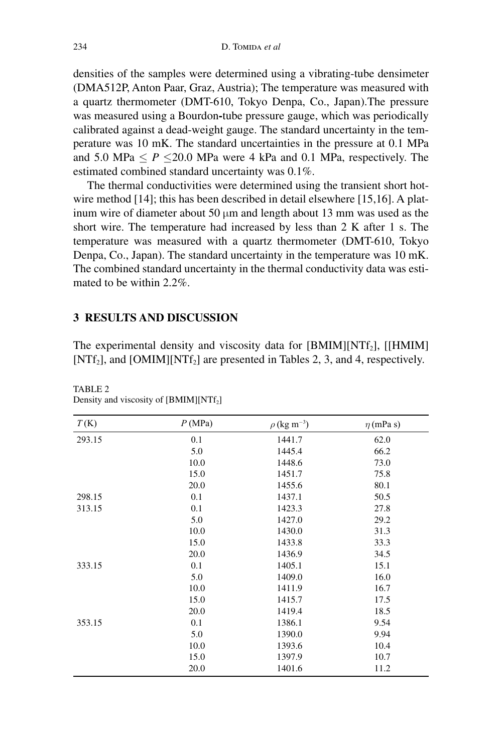densities of the samples were determined using a vibrating-tube densimeter (DMA512P, Anton Paar, Graz, Austria); The temperature was measured with a quartz thermometer (DMT-610, Tokyo Denpa, Co., Japan).The pressure was measured using a Bourdon**-**tube pressure gauge, which was periodically calibrated against a dead-weight gauge. The standard uncertainty in the temperature was 10 mK. The standard uncertainties in the pressure at 0.1 MPa and 5.0 MPa  $\leq P \leq 20.0$  MPa were 4 kPa and 0.1 MPa, respectively. The estimated combined standard uncertainty was 0.1%.

The thermal conductivities were determined using the transient short hotwire method [14]; this has been described in detail elsewhere [15,16]. A platinum wire of diameter about 50  $\mu$ m and length about 13 mm was used as the short wire. The temperature had increased by less than 2 K after 1 s. The temperature was measured with a quartz thermometer (DMT-610, Tokyo Denpa, Co., Japan). The standard uncertainty in the temperature was 10 mK. The combined standard uncertainty in the thermal conductivity data was estimated to be within 2.2%.

### **3 RESULTS AND DISCUSSION**

The experimental density and viscosity data for  $[BMIM][NTf<sub>2</sub>]$ ,  $[IHMIM]$ [NTf<sub>2</sub>], and [OMIM][NTf<sub>2</sub>] are presented in Tables 2, 3, and 4, respectively.

| P(MPa) | $\rho$ (kg m <sup>-3</sup> ) | $\eta$ (mPa s) |
|--------|------------------------------|----------------|
| 0.1    | 1441.7                       | 62.0           |
| 5.0    | 1445.4                       | 66.2           |
| 10.0   | 1448.6                       | 73.0           |
| 15.0   | 1451.7                       | 75.8           |
| 20.0   | 1455.6                       | 80.1           |
| 0.1    | 1437.1                       | 50.5           |
| 0.1    | 1423.3                       | 27.8           |
| 5.0    | 1427.0                       | 29.2           |
| 10.0   | 1430.0                       | 31.3           |
| 15.0   | 1433.8                       | 33.3           |
| 20.0   | 1436.9                       | 34.5           |
| 0.1    | 1405.1                       | 15.1           |
| 5.0    | 1409.0                       | 16.0           |
| 10.0   | 1411.9                       | 16.7           |
| 15.0   | 1415.7                       | 17.5           |
| 20.0   | 1419.4                       | 18.5           |
| 0.1    | 1386.1                       | 9.54           |
| 5.0    | 1390.0                       | 9.94           |
| 10.0   | 1393.6                       | 10.4           |
| 15.0   | 1397.9                       | 10.7           |
| 20.0   | 1401.6                       | 11.2           |
|        |                              |                |

TABLE 2 Density and viscosity of [BMIM][NTf<sub>2</sub>]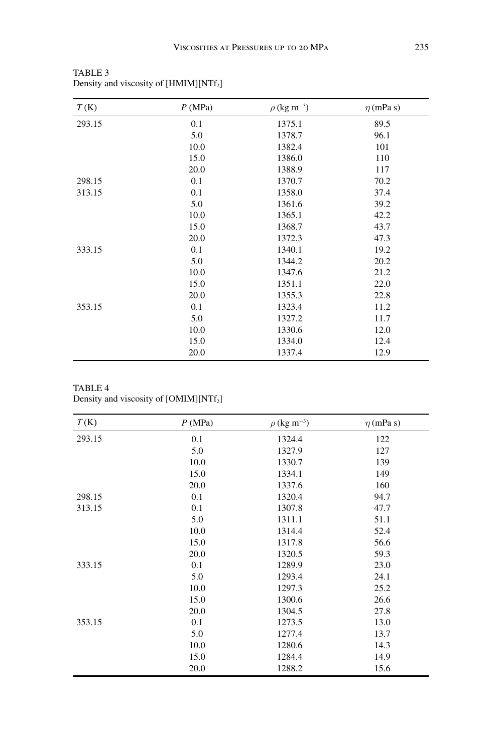| T(K)   | P(MPa) | $\rho$ (kg m <sup>-3</sup> ) | $\eta$ (mPa s) |
|--------|--------|------------------------------|----------------|
| 293.15 | 0.1    | 1375.1                       | 89.5           |
|        | 5.0    | 1378.7                       | 96.1           |
|        | 10.0   | 1382.4                       | 101            |
|        | 15.0   | 1386.0                       | 110            |
|        | 20.0   | 1388.9                       | 117            |
| 298.15 | 0.1    | 1370.7                       | 70.2           |
| 313.15 | 0.1    | 1358.0                       | 37.4           |
|        | 5.0    | 1361.6                       | 39.2           |
|        | 10.0   | 1365.1                       | 42.2           |
|        | 15.0   | 1368.7                       | 43.7           |
|        | 20.0   | 1372.3                       | 47.3           |
| 333.15 | 0.1    | 1340.1                       | 19.2           |
|        | 5.0    | 1344.2                       | 20.2           |
|        | 10.0   | 1347.6                       | 21.2           |
|        | 15.0   | 1351.1                       | 22.0           |
|        | 20.0   | 1355.3                       | 22.8           |
| 353.15 | 0.1    | 1323.4                       | 11.2           |
|        | 5.0    | 1327.2                       | 11.7           |
|        | 10.0   | 1330.6                       | 12.0           |
|        | 15.0   | 1334.0                       | 12.4           |
|        | 20.0   | 1337.4                       | 12.9           |

TABLE 3 Density and viscosity of [HMIM][NTf<sub>2</sub>]

TABLE 4

Density and viscosity of [OMIM][NTf<sub>2</sub>]

| T(K)   | P(MPa) | $\rho$ (kg m <sup>-3</sup> ) | $\eta$ (mPa s) |
|--------|--------|------------------------------|----------------|
| 293.15 | 0.1    | 1324.4                       | 122            |
|        | 5.0    | 1327.9                       | 127            |
|        | 10.0   | 1330.7                       | 139            |
|        | 15.0   | 1334.1                       | 149            |
|        | 20.0   | 1337.6                       | 160            |
| 298.15 | 0.1    | 1320.4                       | 94.7           |
| 313.15 | 0.1    | 1307.8                       | 47.7           |
|        | 5.0    | 1311.1                       | 51.1           |
|        | 10.0   | 1314.4                       | 52.4           |
|        | 15.0   | 1317.8                       | 56.6           |
|        | 20.0   | 1320.5                       | 59.3           |
| 333.15 | 0.1    | 1289.9                       | 23.0           |
|        | 5.0    | 1293.4                       | 24.1           |
|        | 10.0   | 1297.3                       | 25.2           |
|        | 15.0   | 1300.6                       | 26.6           |
|        | 20.0   | 1304.5                       | 27.8           |
| 353.15 | 0.1    | 1273.5                       | 13.0           |
|        | 5.0    | 1277.4                       | 13.7           |
|        | 10.0   | 1280.6                       | 14.3           |
|        | 15.0   | 1284.4                       | 14.9           |
|        | 20.0   | 1288.2                       | 15.6           |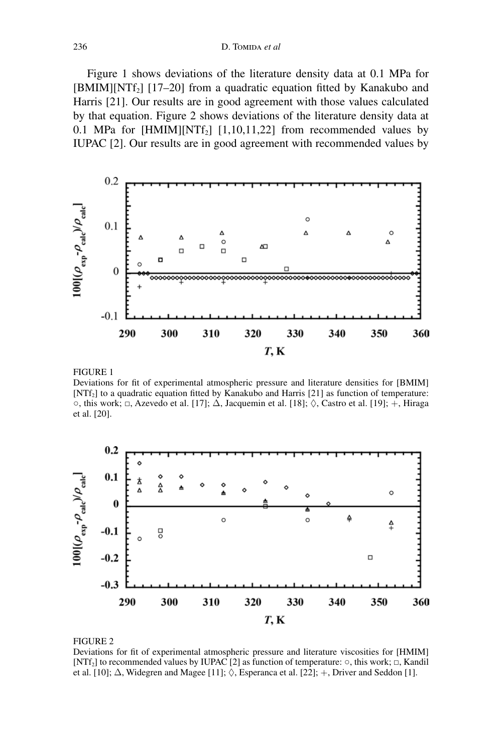Figure 1 shows deviations of the literature density data at 0.1 MPa for  $[BMIM][NTf<sub>2</sub>]$  [17–20] from a quadratic equation fitted by Kanakubo and Harris [21]. Our results are in good agreement with those values calculated by that equation. Figure 2 shows deviations of the literature density data at 0.1 MPa for  $[HMIM][NTf_2]$   $[1,10,11,22]$  from recommended values by IUPAC [2]. Our results are in good agreement with recommended values by



FIGURE 1

Deviations for fit of experimental atmospheric pressure and literature densities for [BMIM] [NTf<sub>2</sub>] to a quadratic equation fitted by Kanakubo and Harris [21] as function of temperature:  $\circ$ , this work;  $\Box$ , Azevedo et al. [17];  $\Delta$ , Jacquemin et al. [18];  $\Diamond$ , Castro et al. [19]; +, Hiraga et al. [20].



FIGURE 2

Deviations for fit of experimental atmospheric pressure and literature viscosities for [HMIM] [NTf2] to recommended values by IUPAC [2] as function of temperature: ○, this work; □, Kandil et al. [10];  $\Delta$ , Widegren and Magee [11];  $\Diamond$ , Esperanca et al. [22]; +, Driver and Seddon [1].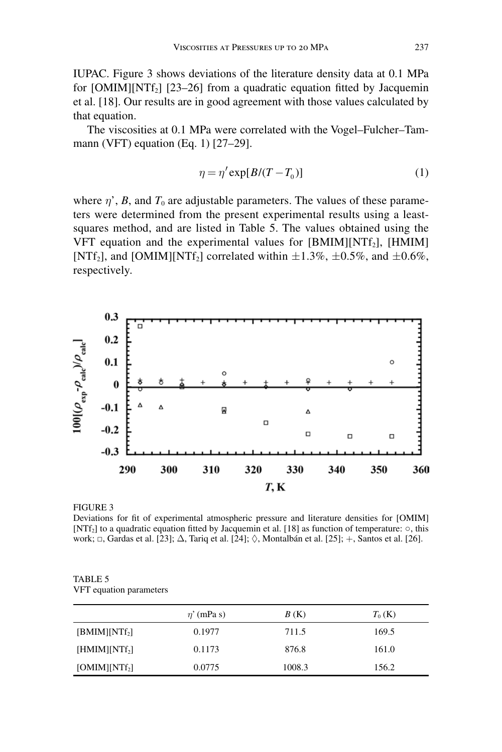IUPAC. Figure 3 shows deviations of the literature density data at 0.1 MPa for  $[OMIM][NTf_2]$   $[23–26]$  from a quadratic equation fitted by Jacquemin et al. [18]. Our results are in good agreement with those values calculated by that equation.

The viscosities at 0.1 MPa were correlated with the Vogel–Fulcher–Tammann (VFT) equation (Eq. 1) [27–29].

$$
\eta = \eta' \exp[B/(T - T_0)] \tag{1}
$$

where  $\eta'$ , *B*, and  $T_0$  are adjustable parameters. The values of these parameters were determined from the present experimental results using a leastsquares method, and are listed in Table 5. The values obtained using the VFT equation and the experimental values for [BMIM][NTf<sub>2</sub>], [HMIM] [NTf<sub>2</sub>], and [OMIM][NTf<sub>2</sub>] correlated within  $\pm 1.3\%$ ,  $\pm 0.5\%$ , and  $\pm 0.6\%$ , respectively.



#### FIGURE 3

Deviations for fit of experimental atmospheric pressure and literature densities for [OMIM] [NTf2] to a quadratic equation fitted by Jacquemin et al. [18] as function of temperature: ○, this work;  $\Box$ , Gardas et al. [23];  $\Delta$ , Tariq et al. [24];  $\Diamond$ , Montalbán et al. [25]; +, Santos et al. [26].

TABLE 5 VFT equation parameters

|                 | $\eta'$ (mPa s) | B(K)   | $T_0$ (K) |
|-----------------|-----------------|--------|-----------|
| $[BMIM][NTf_2]$ | 0.1977          | 711.5  | 169.5     |
| $[HMIM][NTf_2]$ | 0.1173          | 876.8  | 161.0     |
| $[OMIM][NTf_2]$ | 0.0775          | 1008.3 | 156.2     |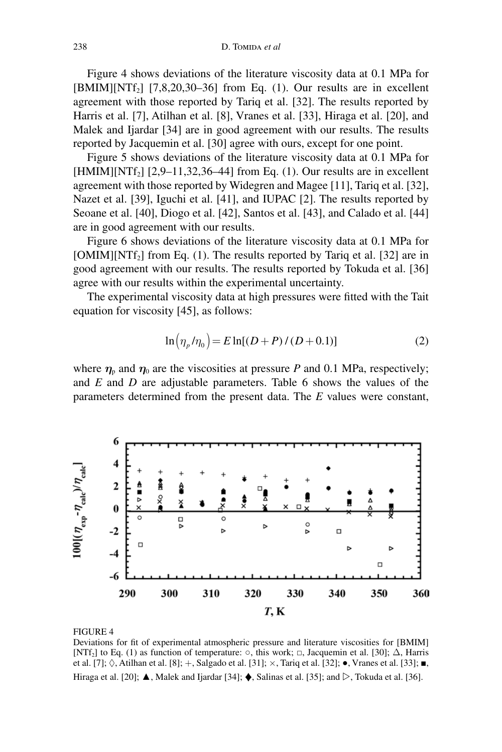Figure 4 shows deviations of the literature viscosity data at 0.1 MPa for  $[BMIM][NTf<sub>2</sub>]$   $[7,8,20,30–36]$  from Eq. (1). Our results are in excellent agreement with those reported by Tariq et al. [32]. The results reported by Harris et al. [7], Atilhan et al. [8], Vranes et al. [33], Hiraga et al. [20], and Malek and Ijardar [34] are in good agreement with our results. The results reported by Jacquemin et al. [30] agree with ours, except for one point.

Figure 5 shows deviations of the literature viscosity data at 0.1 MPa for  $[HMIM][NTf<sub>2</sub>]$  [2,9–11,32,36–44] from Eq. (1). Our results are in excellent agreement with those reported by Widegren and Magee [11], Tariq et al. [32], Nazet et al. [39], Iguchi et al. [41], and IUPAC [2]. The results reported by Seoane et al. [40], Diogo et al. [42], Santos et al. [43], and Calado et al. [44] are in good agreement with our results.

Figure 6 shows deviations of the literature viscosity data at 0.1 MPa for  $[OMIM][NTf<sub>2</sub>]$  from Eq. (1). The results reported by Tariq et al. [32] are in good agreement with our results. The results reported by Tokuda et al. [36] agree with our results within the experimental uncertainty.

The experimental viscosity data at high pressures were fitted with the Tait equation for viscosity [45], as follows:

$$
\ln(\eta_p/\eta_0) = E \ln[(D+P)/(D+0.1)] \tag{2}
$$

where  $\eta_{\rm p}$  and  $\eta_{\rm 0}$  are the viscosities at pressure *P* and 0.1 MPa, respectively; and *E* and *D* are adjustable parameters. Table 6 shows the values of the parameters determined from the present data. The *E* values were constant,



#### FIGURE 4

Deviations for fit of experimental atmospheric pressure and literature viscosities for [BMIM] [NTf<sub>2</sub>] to Eq. (1) as function of temperature:  $\circ$ , this work;  $\Box$ , Jacquemin et al. [30];  $\Delta$ , Harris et al. [7];  $\Diamond$ , Atilhan et al. [8]; +, Salgado et al. [31];  $\times$ , Tariq et al. [32];  $\bullet$ , Vranes et al. [33];  $\blacksquare$ , Hiraga et al. [20];  $\triangle$ , Malek and Ijardar [34];  $\triangle$ , Salinas et al. [35]; and  $\triangleright$ , Tokuda et al. [36].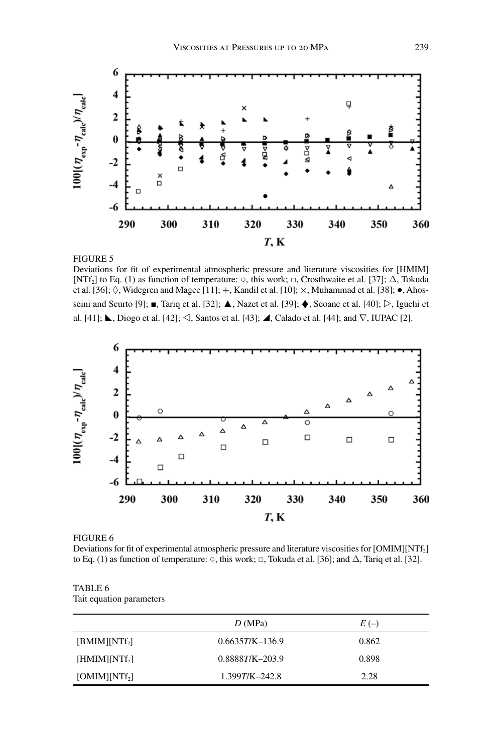

#### FIGURE 5

Deviations for fit of experimental atmospheric pressure and literature viscosities for [HMIM] [NTf<sub>2</sub>] to Eq. (1) as function of temperature:  $\circ$ , this work;  $\Box$ , Crosthwaite et al. [37];  $\Delta$ , Tokuda et al. [36];  $\Diamond$ , Widegren and Magee [11]; +, Kandil et al. [10];  $\times$ , Muhammad et al. [38];  $\bullet$ , Ahosseini and Scurto [9];  $\blacksquare$ , Tariq et al. [32];  $\blacktriangle$ , Nazet et al. [39];  $\blacklozenge$ , Seoane et al. [40];  $\triangleright$ , Iguchi et al. [41];  $\blacktriangle$ , Diogo et al. [42];  $\triangleleft$ , Santos et al. [43];  $\blacktriangleleft$ , Calado et al. [44]; and  $\nabla$ , IUPAC [2].



FIGURE 6

Deviations for fit of experimental atmospheric pressure and literature viscosities for [OMIM][NTf<sub>2</sub>] to Eq. (1) as function of temperature:  $\circ$ , this work;  $\Box$ , Tokuda et al. [36]; and  $\Delta$ , Tariq et al. [32].

#### TABLE 6 Tait equation parameters

|                 | D(MPa)              | $E(-)$ |
|-----------------|---------------------|--------|
| $[BMIM][NTf_2]$ | $0.6635T/K-136.9$   | 0.862  |
| $[HMIM][NTf_2]$ | $0.88887/K - 203.9$ | 0.898  |
| $[OMIM][NTf_2]$ | $1.399T/K - 242.8$  | 2.28   |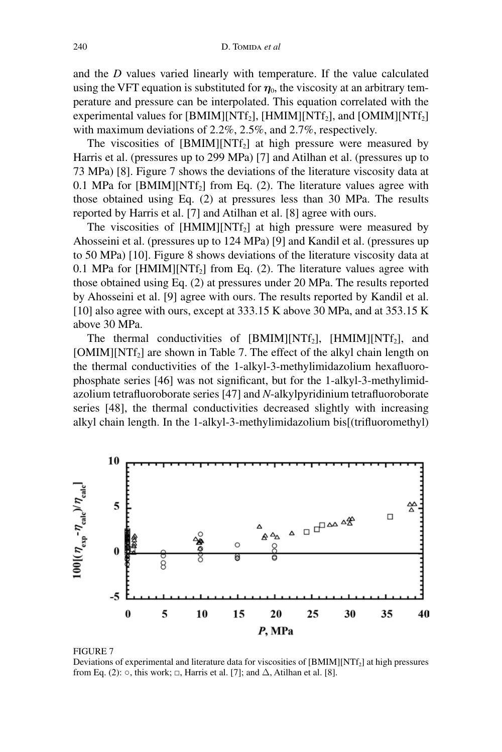and the *D* values varied linearly with temperature. If the value calculated using the VFT equation is substituted for  $\eta_0$ , the viscosity at an arbitrary temperature and pressure can be interpolated. This equation correlated with the experimental values for  $[BMIM][NTf_2]$ ,  $[HMIM][NTf_2]$ , and  $[OMIM][NTf_2]$ with maximum deviations of 2.2%, 2.5%, and 2.7%, respectively.

The viscosities of  $[BMIM][NTf_2]$  at high pressure were measured by Harris et al. (pressures up to 299 MPa) [7] and Atilhan et al. (pressures up to 73 MPa) [8]. Figure 7 shows the deviations of the literature viscosity data at 0.1 MPa for  $[BMIM][NTf_2]$  from Eq. (2). The literature values agree with those obtained using Eq. (2) at pressures less than 30 MPa. The results reported by Harris et al. [7] and Atilhan et al. [8] agree with ours.

The viscosities of  $[HMM][NTf_2]$  at high pressure were measured by Ahosseini et al. (pressures up to 124 MPa) [9] and Kandil et al. (pressures up to 50 MPa) [10]. Figure 8 shows deviations of the literature viscosity data at 0.1 MPa for  $[HMIN][NTf_2]$  from Eq. (2). The literature values agree with those obtained using Eq. (2) at pressures under 20 MPa. The results reported by Ahosseini et al. [9] agree with ours. The results reported by Kandil et al. [10] also agree with ours, except at 333.15 K above 30 MPa, and at 353.15 K above 30 MPa.

The thermal conductivities of [BMIM][NTf<sub>2</sub>], [HMIM][NTf<sub>2</sub>], and [OMIM][NTf<sub>2</sub>] are shown in Table 7. The effect of the alkyl chain length on the thermal conductivities of the 1-alkyl-3-methylimidazolium hexafluorophosphate series [46] was not significant, but for the 1-alkyl-3-methylimidazolium tetrafluoroborate series [47] and *N*-alkylpyridinium tetrafluoroborate series [48], the thermal conductivities decreased slightly with increasing alkyl chain length. In the 1-alkyl-3-methylimidazolium bis[(trifluoromethyl)



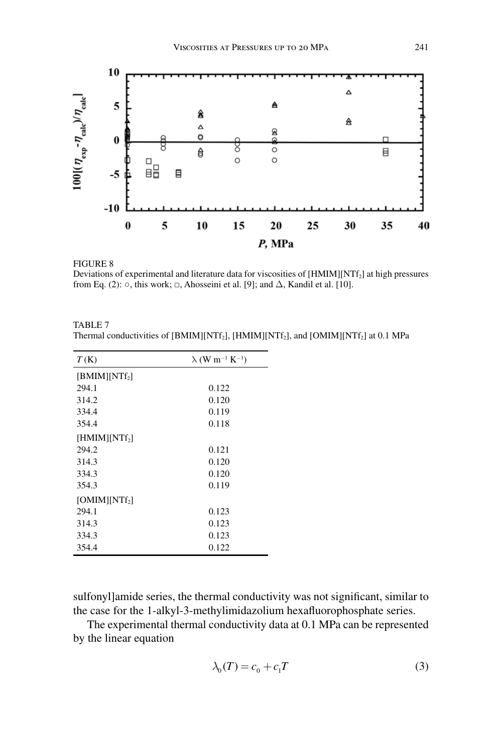

FIGURE 8

Deviations of experimental and literature data for viscosities of [HMIM][NTf<sub>2</sub>] at high pressures from Eq. (2):  $\circ$ , this work;  $\Box$ , Ahosseini et al. [9]; and  $\Delta$ , Kandil et al. [10].

| TABLE 7                                                                                                                  |  |
|--------------------------------------------------------------------------------------------------------------------------|--|
| Thermal conductivities of [BMIM][NTf <sub>2</sub> ], [HMIM][NTf <sub>2</sub> ], and [OMIM][NTf <sub>2</sub> ] at 0.1 MPa |  |

| T(K)            | $\lambda$ (W m <sup>-1</sup> K <sup>-1</sup> ) |
|-----------------|------------------------------------------------|
| $[BMIM][NTf_2]$ |                                                |
| 294.1           | 0.122                                          |
| 314.2           | 0.120                                          |
| 334.4           | 0.119                                          |
| 354.4           | 0.118                                          |
| $[HMIM][NTf_2]$ |                                                |
| 294.2           | 0.121                                          |
| 314.3           | 0.120                                          |
| 334.3           | 0.120                                          |
| 354.3           | 0.119                                          |
| $[OMIM][NTf_2]$ |                                                |
| 294.1           | 0.123                                          |
| 314.3           | 0.123                                          |
| 334.3           | 0.123                                          |
| 354.4           | 0.122                                          |

sulfonyl]amide series, the thermal conductivity was not significant, similar to the case for the 1-alkyl-3-methylimidazolium hexafluorophosphate series.

The experimental thermal conductivity data at 0.1 MPa can be represented by the linear equation

$$
\lambda_0(T) = c_0 + c_1 T \tag{3}
$$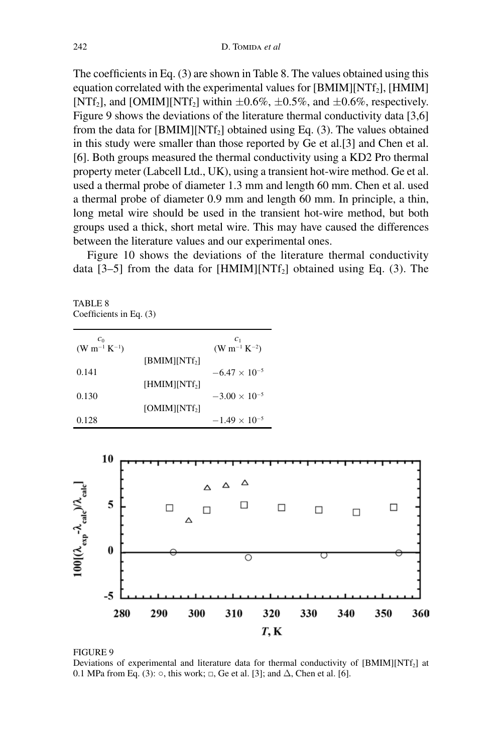The coefficients in Eq. (3) are shown in Table 8. The values obtained using this equation correlated with the experimental values for  $[BMIM][NTf<sub>2</sub>]$ ,  $[HMIM]$ [NTf<sub>2</sub>], and [OMIM][NTf<sub>2</sub>] within  $\pm 0.6\%$ ,  $\pm 0.5\%$ , and  $\pm 0.6\%$ , respectively. Figure 9 shows the deviations of the literature thermal conductivity data [3,6] from the data for  $[BMIM][NTf_2]$  obtained using Eq. (3). The values obtained in this study were smaller than those reported by Ge et al.[3] and Chen et al. [6]. Both groups measured the thermal conductivity using a KD2 Pro thermal property meter (Labcell Ltd., UK), using a transient hot-wire method. Ge et al. used a thermal probe of diameter 1.3 mm and length 60 mm. Chen et al. used a thermal probe of diameter 0.9 mm and length 60 mm. In principle, a thin, long metal wire should be used in the transient hot-wire method, but both groups used a thick, short metal wire. This may have caused the differences between the literature values and our experimental ones.

Figure 10 shows the deviations of the literature thermal conductivity data  $[3-5]$  from the data for  $[HMIM][NTf_2]$  obtained using Eq. (3). The

TABLE<sub>8</sub> Coefficients in Eq. (3)

| $c_0$<br>$(W m^{-1} K^{-1})$ |                           | c <sub>1</sub><br>$(W m^{-1} K^{-2})$ |
|------------------------------|---------------------------|---------------------------------------|
|                              | [BMIM][NTf <sub>2</sub> ] |                                       |
| 0.141                        |                           | $-6.47 \times 10^{-5}$                |
|                              | $[HMIM][NTf_2]$           |                                       |
| 0.130                        |                           | $-3.00 \times 10^{-5}$                |
|                              | $[OMIM][NTf_2]$           |                                       |
| 0.128                        |                           | $-1.49 \times 10^{-5}$                |



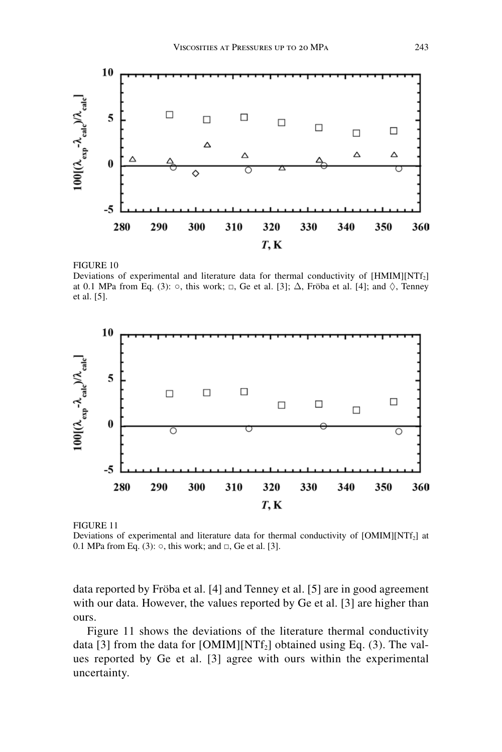

FIGURE 10

Deviations of experimental and literature data for thermal conductivity of [HMIM][NTf<sub>2</sub>] at 0.1 MPa from Eq. (3):  $\circ$ , this work;  $\Box$ , Ge et al. [3];  $\Delta$ , Fröba et al. [4]; and  $\Diamond$ , Tenney et al. [5].



FIGURE 11

Deviations of experimental and literature data for thermal conductivity of  $[OMIM][NTf<sub>2</sub>]$  at 0.1 MPa from Eq. (3): ○, this work; and □, Ge et al. [3].

data reported by Fröba et al. [4] and Tenney et al. [5] are in good agreement with our data. However, the values reported by Ge et al. [3] are higher than ours.

Figure 11 shows the deviations of the literature thermal conductivity data [3] from the data for  $[OMIM][NTf_2]$  obtained using Eq. (3). The values reported by Ge et al. [3] agree with ours within the experimental uncertainty.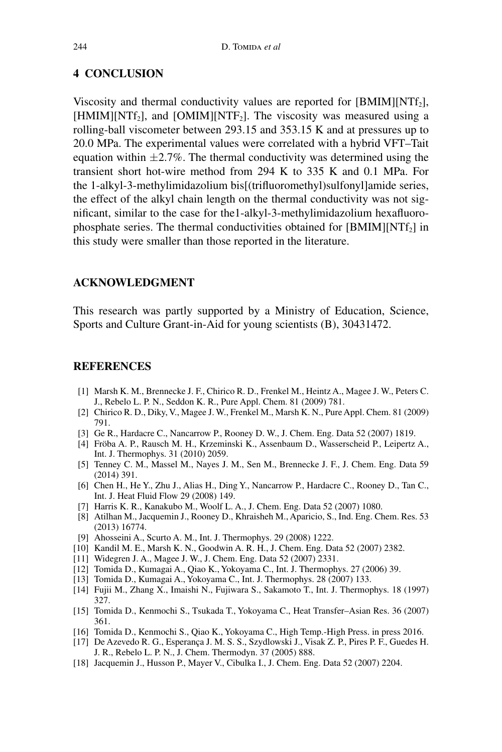## **4 CONCLUSION**

Viscosity and thermal conductivity values are reported for  $[BMIM][NTf<sub>2</sub>]$ ,  $[HMM][NTf<sub>2</sub>]$ , and  $[OMIM][NTF<sub>2</sub>]$ . The viscosity was measured using a rolling-ball viscometer between 293.15 and 353.15 K and at pressures up to 20.0 MPa. The experimental values were correlated with a hybrid VFT–Tait equation within  $\pm 2.7\%$ . The thermal conductivity was determined using the transient short hot-wire method from 294 K to 335 K and 0.1 MPa. For the 1-alkyl-3-methylimidazolium bis[(trifluoromethyl)sulfonyl]amide series, the effect of the alkyl chain length on the thermal conductivity was not significant, similar to the case for the1-alkyl-3-methylimidazolium hexafluorophosphate series. The thermal conductivities obtained for  $[BMIM][NTf<sub>2</sub>]$  in this study were smaller than those reported in the literature.

## **ACKNOWLEDGMENT**

This research was partly supported by a Ministry of Education, Science, Sports and Culture Grant-in-Aid for young scientists (B), 30431472.

## **REFERENCES**

- [1] Marsh K. M., Brennecke J. F., Chirico R. D., Frenkel M., Heintz A., Magee J. W., Peters C. J., Rebelo L. P. N., Seddon K. R., Pure Appl. Chem. 81 (2009) 781.
- [2] Chirico R. D., Diky, V., Magee J. W., Frenkel M., Marsh K. N., Pure Appl. Chem. 81 (2009) 791.
- [3] Ge R., Hardacre C., Nancarrow P., Rooney D. W., J. Chem. Eng. Data 52 (2007) 1819.
- [4] Fröba A. P., Rausch M. H., Krzeminski K., Assenbaum D., Wasserscheid P., Leipertz A., Int. J. Thermophys. 31 (2010) 2059.
- [5] Tenney C. M., Massel M., Nayes J. M., Sen M., Brennecke J. F., J. Chem. Eng. Data 59 (2014) 391.
- [6] Chen H., He Y., Zhu J., Alias H., Ding Y., Nancarrow P., Hardacre C., Rooney D., Tan C., Int. J. Heat Fluid Flow 29 (2008) 149.
- [7] Harris K. R., Kanakubo M., Woolf L. A., J. Chem. Eng. Data 52 (2007) 1080.
- [8] Atilhan M., Jacquemin J., Rooney D., Khraisheh M., Aparicio, S., Ind. Eng. Chem. Res. 53 (2013) 16774.
- [9] Ahosseini A., Scurto A. M., Int. J. Thermophys. 29 (2008) 1222.
- [10] Kandil M. E., Marsh K. N., Goodwin A. R. H., J. Chem. Eng. Data 52 (2007) 2382.
- [11] Widegren J. A., Magee J. W., J. Chem. Eng. Data 52 (2007) 2331.
- [12] Tomida D., Kumagai A., Qiao K., Yokoyama C., Int. J. Thermophys. 27 (2006) 39.
- [13] Tomida D., Kumagai A., Yokoyama C., Int. J. Thermophys. 28 (2007) 133.
- [14] Fujii M., Zhang X., Imaishi N., Fujiwara S., Sakamoto T., Int. J. Thermophys. 18 (1997) 327.
- [15] Tomida D., Kenmochi S., Tsukada T., Yokoyama C., Heat Transfer–Asian Res. 36 (2007) 361.
- [16] Tomida D., Kenmochi S., Qiao K., Yokoyama C., High Temp.-High Press. in press 2016.
- [17] De Azevedo R. G., Esperança J. M. S. S., Szydlowski J., Visak Z. P., Pires P. F., Guedes H. J. R., Rebelo L. P. N., J. Chem. Thermodyn. 37 (2005) 888.
- [18] Jacquemin J., Husson P., Mayer V., Cibulka I., J. Chem. Eng. Data 52 (2007) 2204.